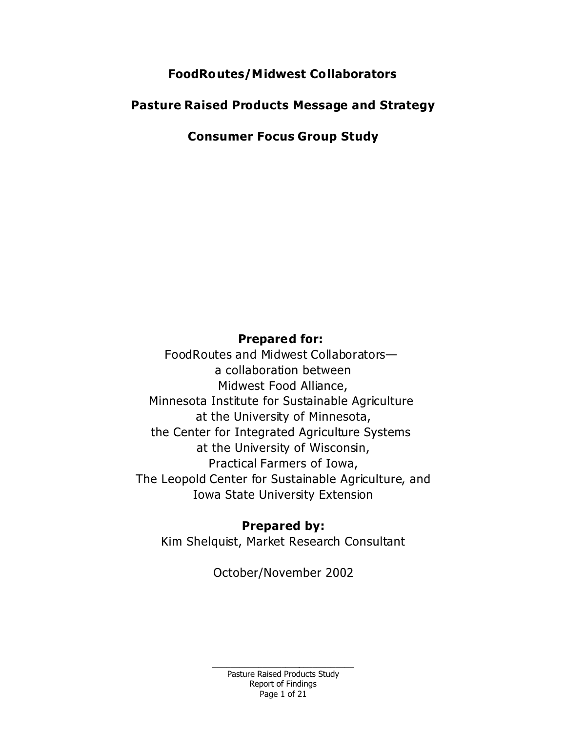## **FoodRoutes/Midwest Collaborators**

# **Pasture Raised Products Message and Strategy**

**Consumer Focus Group Study**

## **Prepared for:**

FoodRoutes and Midwest Collaborators a collaboration between Midwest Food Alliance, Minnesota Institute for Sustainable Agriculture at the University of Minnesota, the Center for Integrated Agriculture Systems at the University of Wisconsin, Practical Farmers of Iowa, The Leopold Center for Sustainable Agriculture, and Iowa State University Extension

## **Prepared by:**

Kim Shelquist, Market Research Consultant

October/November 2002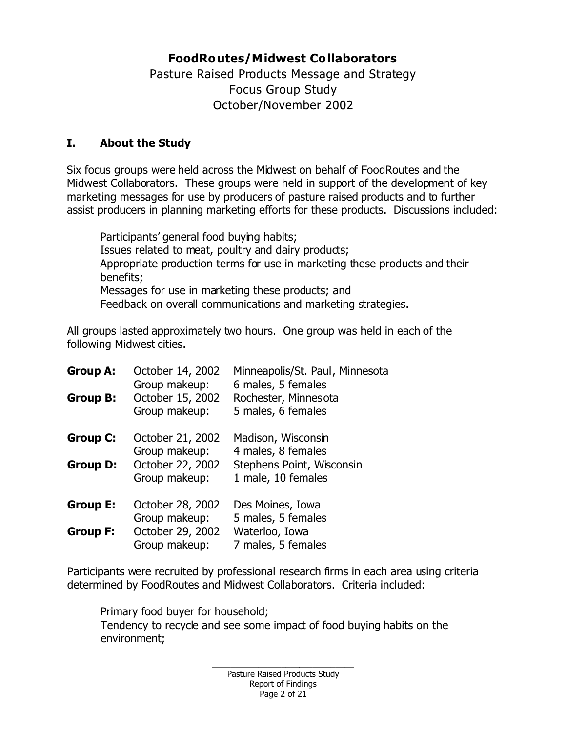# **FoodRoutes/Midwest Collaborators**

Pasture Raised Products Message and Strategy Focus Group Study October/November 2002

## **I. About the Study**

Six focus groups were held across the Midwest on behalf of FoodRoutes and the Midwest Collaborators. These groups were held in support of the development of key marketing messages for use by producers of pasture raised products and to further assist producers in planning marketing efforts for these products. Discussions included:

Participants' general food buying habits; Issues related to meat, poultry and dairy products; Appropriate production terms for use in marketing these products and their benefits; Messages for use in marketing these products; and Feedback on overall communications and marketing strategies.

All groups lasted approximately two hours. One group was held in each of the following Midwest cities.

| <b>Group A:</b><br><b>Group B:</b> | October 14, 2002<br>Group makeup:<br>October 15, 2002<br>Group makeup: | Minneapolis/St. Paul, Minnesota<br>6 males, 5 females<br>Rochester, Minnesota<br>5 males, 6 females |
|------------------------------------|------------------------------------------------------------------------|-----------------------------------------------------------------------------------------------------|
| <b>Group C:</b><br><b>Group D:</b> | October 21, 2002<br>Group makeup:<br>October 22, 2002                  | Madison, Wisconsin<br>4 males, 8 females<br>Stephens Point, Wisconsin                               |
|                                    | Group makeup:                                                          | 1 male, 10 females                                                                                  |
| <b>Group E:</b>                    | October 28, 2002<br>Group makeup:                                      | Des Moines, Iowa<br>5 males, 5 females                                                              |
| <b>Group F:</b>                    | October 29, 2002<br>Group makeup:                                      | Waterloo, Iowa<br>7 males, 5 females                                                                |

Participants were recruited by professional research firms in each area using criteria determined by FoodRoutes and Midwest Collaborators. Criteria included:

Primary food buyer for household; Tendency to recycle and see some impact of food buying habits on the environment;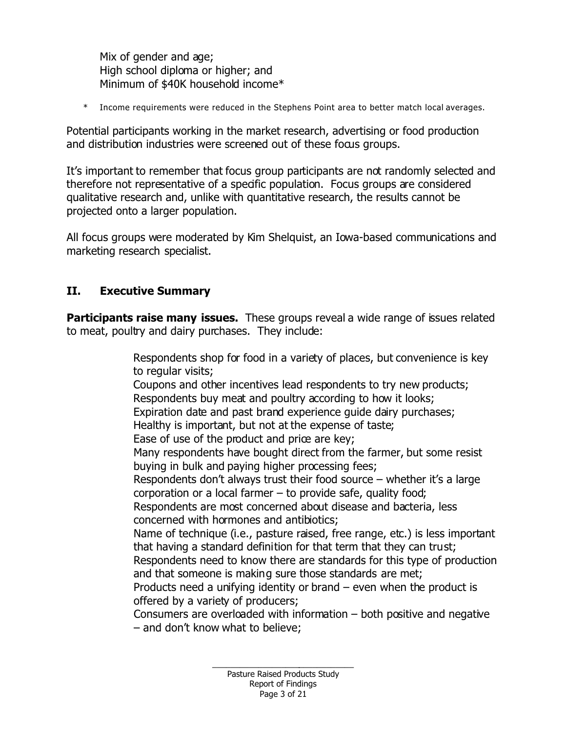Mix of gender and age; High school diploma or higher; and Minimum of \$40K household income\*

\* Income requirements were reduced in the Stephens Point area to better match local averages.

Potential participants working in the market research, advertising or food production and distribution industries were screened out of these focus groups.

It's important to remember that focus group participants are not randomly selected and therefore not representative of a specific population. Focus groups are considered qualitative research and, unlike with quantitative research, the results cannot be projected onto a larger population.

All focus groups were moderated by Kim Shelquist, an Iowa-based communications and marketing research specialist.

## **II. Executive Summary**

**Participants raise many issues.** These groups reveal a wide range of issues related to meat, poultry and dairy purchases. They include:

> Respondents shop for food in a variety of places, but convenience is key to regular visits; Coupons and other incentives lead respondents to try new products; Respondents buy meat and poultry according to how it looks; Expiration date and past brand experience guide dairy purchases; Healthy is important, but not at the expense of taste; Ease of use of the product and price are key; Many respondents have bought direct from the farmer, but some resist buying in bulk and paying higher processing fees; Respondents don't always trust their food source – whether it's a large corporation or a local farmer – to provide safe, quality food; Respondents are most concerned about disease and bacteria, less concerned with hormones and antibiotics; Name of technique (i.e., pasture raised, free range, etc.) is less important that having a standard definition for that term that they can trust; Respondents need to know there are standards for this type of production and that someone is making sure those standards are met; Products need a unifying identity or brand – even when the product is offered by a variety of producers; Consumers are overloaded with information – both positive and negative – and don't know what to believe;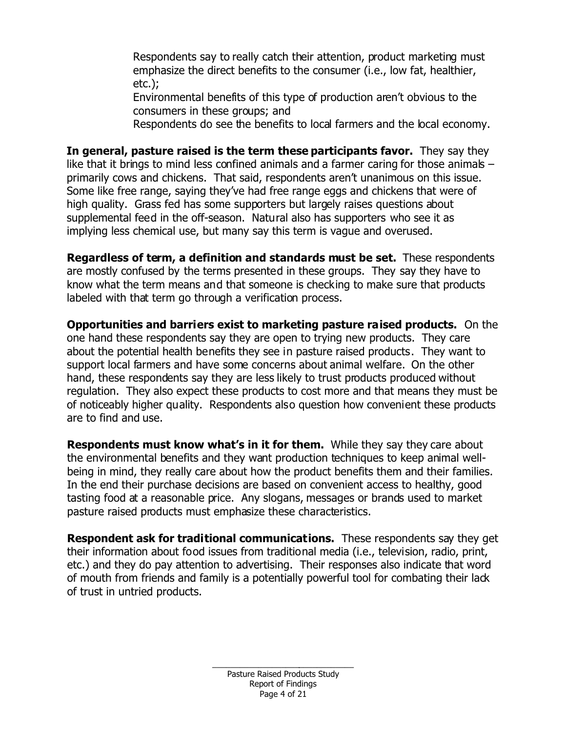Respondents say to really catch their attention, product marketing must emphasize the direct benefits to the consumer (i.e., low fat, healthier, etc.);

Environmental benefits of this type of production aren't obvious to the consumers in these groups; and

Respondents do see the benefits to local farmers and the local economy.

**In general, pasture raised is the term these participants favor.** They say they like that it brings to mind less confined animals and a farmer caring for those animals  $$ primarily cows and chickens. That said, respondents aren't unanimous on this issue. Some like free range, saying they've had free range eggs and chickens that were of high quality. Grass fed has some supporters but largely raises questions about supplemental feed in the off-season. Natural also has supporters who see it as implying less chemical use, but many say this term is vague and overused.

**Regardless of term, a definition and standards must be set.** These respondents are mostly confused by the terms presented in these groups. They say they have to know what the term means and that someone is checking to make sure that products labeled with that term go through a verification process.

**Opportunities and barriers exist to marketing pasture raised products.** On the one hand these respondents say they are open to trying new products. They care about the potential health benefits they see in pasture raised products. They want to support local farmers and have some concerns about animal welfare. On the other hand, these respondents say they are less likely to trust products produced without regulation. They also expect these products to cost more and that means they must be of noticeably higher quality. Respondents also question how convenient these products are to find and use.

**Respondents must know what's in it for them.** While they say they care about the environmental benefits and they want production techniques to keep animal wellbeing in mind, they really care about how the product benefits them and their families. In the end their purchase decisions are based on convenient access to healthy, good tasting food at a reasonable price. Any slogans, messages or brands used to market pasture raised products must emphasize these characteristics.

**Respondent ask for traditional communications.** These respondents say they get their information about food issues from traditional media (i.e., television, radio, print, etc.) and they do pay attention to advertising. Their responses also indicate that word of mouth from friends and family is a potentially powerful tool for combating their lack of trust in untried products.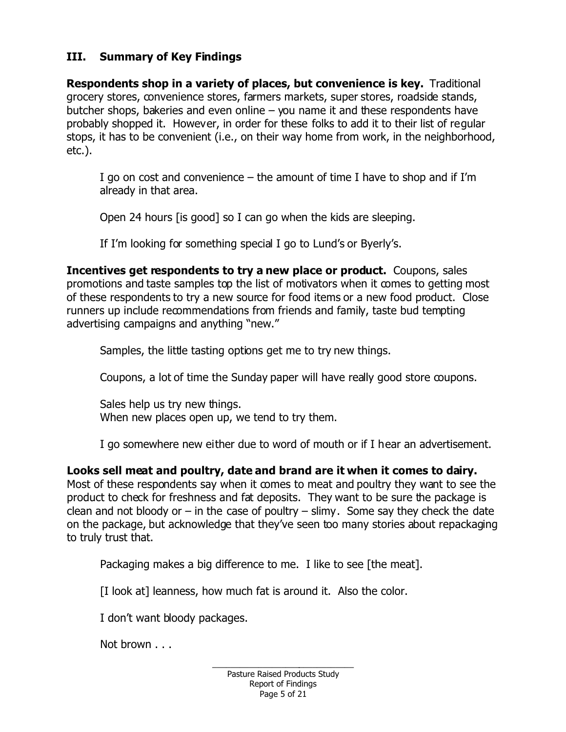## **III. Summary of Key Findings**

**Respondents shop in a variety of places, but convenience is key.** Traditional grocery stores, convenience stores, farmers markets, super stores, roadside stands, butcher shops, bakeries and even online – you name it and these respondents have probably shopped it. However, in order for these folks to add it to their list of regular stops, it has to be convenient (i.e., on their way home from work, in the neighborhood, etc.).

*I go on cost and convenience – the amount of time I have to shop and if I'm already in that area.*

*Open 24 hours [is good] so I can go when the kids are sleeping.*

*If I'm looking for something special I go to Lund's or Byerly's.*

**Incentives get respondents to try a new place or product.** Coupons, sales promotions and taste samples top the list of motivators when it comes to getting most of these respondents to try a new source for food items or a new food product. Close runners up include recommendations from friends and family, taste bud tempting advertising campaigns and anything "new."

*Samples, the little tasting options get me to try new things.*

*Coupons, a lot of time the Sunday paper will have really good store coupons.*

*Sales help us try new things. When new places open up, we tend to try them.*

*I go somewhere new either due to word of mouth or if I hear an advertisement.*

**Looks sell meat and poultry, date and brand are it when it comes to dairy.** Most of these respondents say when it comes to meat and poultry they want to see the product to check for freshness and fat deposits. They want to be sure the package is clean and not bloody or  $-$  in the case of poultry  $-$  slimy. Some say they check the date on the package, but acknowledge that they've seen too many stories about repackaging to truly trust that.

*Packaging makes a big difference to me. I like to see [the meat].*

*[I look at] leanness, how much fat is around it. Also the color.*

*I don't want bloody packages.*

*Not brown . . .*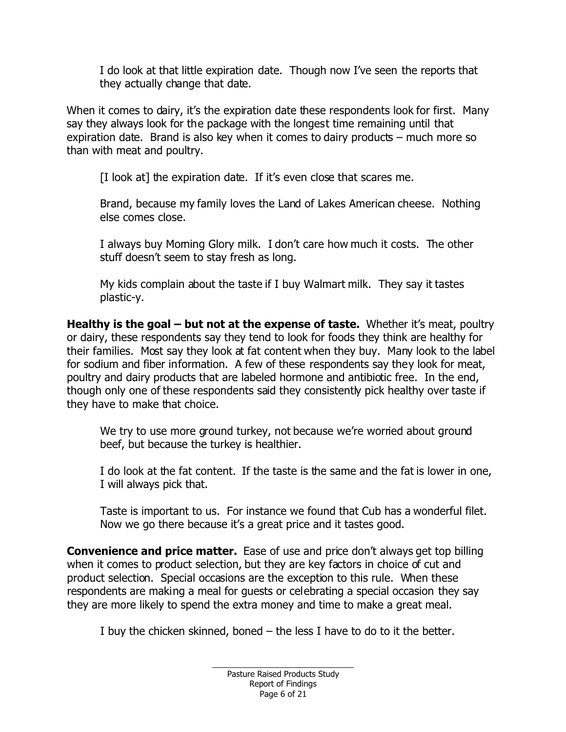*I do look at that little expiration date. Though now I've seen the reports that they actually change that date.*

When it comes to dairy, it's the expiration date these respondents look for first. Many say they always look for the package with the longest time remaining until that expiration date. Brand is also key when it comes to dairy products – much more so than with meat and poultry.

*[I look at] the expiration date. If it's even close that scares me.*

*Brand, because my family loves the Land of Lakes American cheese. Nothing else comes close.*

*I always buy Morning Glory milk. I don't care how much it costs. The other stuff doesn't seem to stay fresh as long.*

*My kids complain about the taste if I buy Walmart milk. They say it tastes plastic-y.*

**Healthy is the goal – but not at the expense of taste.** Whether it's meat, poultry or dairy, these respondents say they tend to look for foods they think are healthy for their families. Most say they look at fat content when they buy. Many look to the label for sodium and fiber information. A few of these respondents say they look for meat, poultry and dairy products that are labeled hormone and antibiotic free. In the end, though only one of these respondents said they consistently pick healthy over taste if they have to make that choice.

*We try to use more ground turkey, not because we're worried about ground beef, but because the turkey is healthier.*

*I do look at the fat content. If the taste is the same and the fat is lower in one, I will always pick that.*

*Taste is important to us. For instance we found that Cub has a wonderful filet. Now we go there because it's a great price and it tastes good.*

**Convenience and price matter.** Ease of use and price don't always get top billing when it comes to product selection, but they are key factors in choice of cut and product selection. Special occasions are the exception to this rule. When these respondents are making a meal for guests or celebrating a special occasion they say they are more likely to spend the extra money and time to make a great meal.

*I buy the chicken skinned, boned – the less I have to do to it the better.*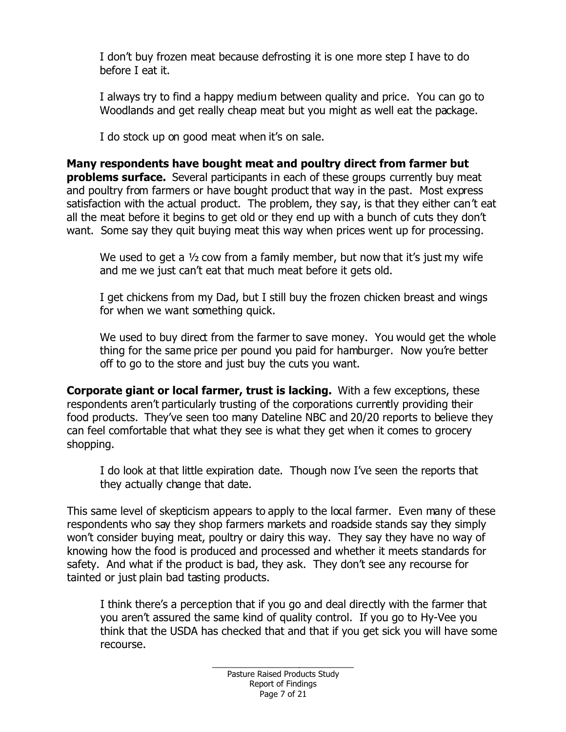*I don't buy frozen meat because defrosting it is one more step I have to do before I eat it.*

*I always try to find a happy medium between quality and price. You can go to Woodlands and get really cheap meat but you might as well eat the package.* 

*I do stock up on good meat when it's on sale.*

**Many respondents have bought meat and poultry direct from farmer but problems surface.** Several participants in each of these groups currently buy meat and poultry from farmers or have bought product that way in the past. Most express satisfaction with the actual product. The problem, they say, is that they either can't eat all the meat before it begins to get old *or* they end up with a bunch of cuts they don't want. Some say they quit buying meat this way when prices went up for processing.

*We used to get a ½ cow from a family member, but now that it's just my wife and me we just can't eat that much meat before it gets old.*

*I get chickens from my Dad, but I still buy the frozen chicken breast and wings for when we want something quick.*

We used to buy direct from the farmer to save money. You would get the whole *thing for the same price per pound you paid for hamburger. Now you're better off to go to the store and just buy the cuts you want.*

**Corporate giant or local farmer, trust is lacking.** With a few exceptions, these respondents aren't particularly trusting of the corporations currently providing their food products. They've seen too many Dateline NBC and 20/20 reports to believe they can feel comfortable that what they see is what they get when it comes to grocery shopping.

*I do look at that little expiration date. Though now I've seen the reports that they actually change that date.*

This same level of skepticism appears to apply to the local farmer. Even many of these respondents who say they shop farmers markets and roadside stands say they simply won't consider buying meat, poultry or dairy this way. They say they have no way of knowing how the food is produced and processed and whether it meets standards for safety. And what if the product is bad, they ask. They don't see any recourse for tainted or just plain bad tasting products.

*I think there's a perception that if you go and deal directly with the farmer that you aren't assured the same kind of quality control. If you go to Hy-Vee you think that the USDA has checked that and that if you get sick you will have some recourse.*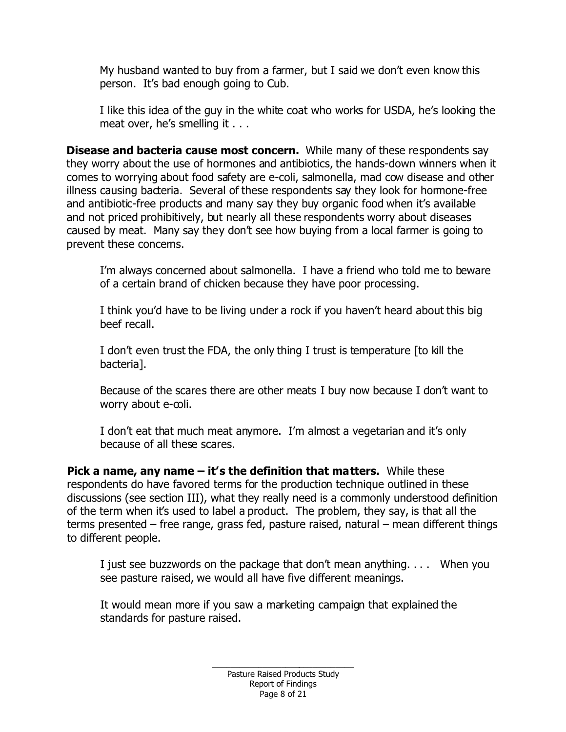*My husband wanted to buy from a farmer, but I said we don't even know this person. It's bad enough going to Cub.*

*I like this idea of the guy in the white coat who works for USDA, he's looking the meat over, he's smelling it . . .*

**Disease and bacteria cause most concern.** While many of these respondents say they worry about the use of hormones and antibiotics, the hands-down winners when it comes to worrying about food safety are e-coli, salmonella, mad cow disease and other illness causing bacteria. Several of these respondents say they look for hormone-free and antibiotic-free products and many say they buy organic food when it's available and not priced prohibitively, but nearly all these respondents *worry* about diseases caused by meat. Many say they don't see how buying from a local farmer is going to prevent these concems.

*I'm always concerned about salmonella. I have a friend who told me to beware of a certain brand of chicken because they have poor processing.*

*I think you'd have to be living under a rock if you haven't heard about this big beef recall.*

*I don't even trust the FDA, the only thing I trust is temperature [to kill the bacteria].*

*Because of the scares there are other meats I buy now because I don't want to worry about e-coli.*

*I don't eat that much meat anymore. I'm almost a vegetarian and it's only because of all these scares.*

**Pick a name, any name – it's the definition that matters.** While these respondents do have favored terms for the production technique outlined in these discussions (see section III), what they really need is a commonly understood definition of the term when it's used to label a product. The problem, they say, is that all the terms presented – free range, grass fed, pasture raised, natural – mean different things to different people.

*I just see buzzwords on the package that don't mean anything. . . . When you see pasture raised, we would all have five different meanings.*

*It would mean more if you saw a marketing campaign that explained the standards for pasture raised.*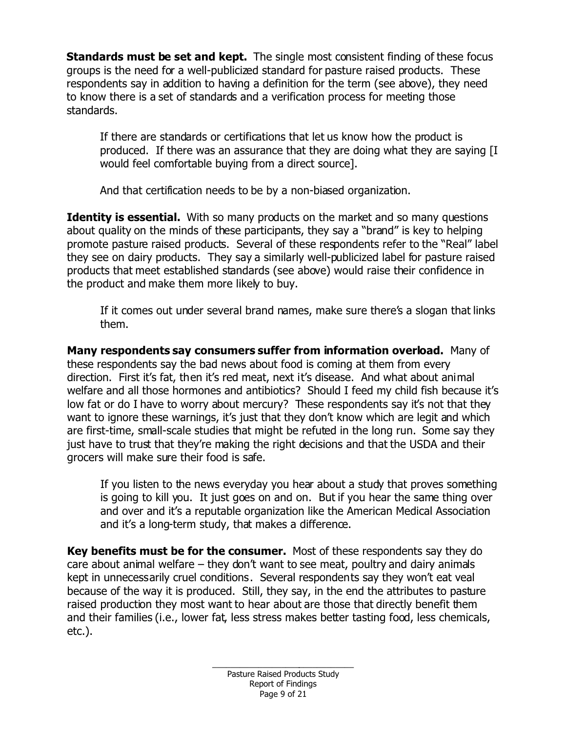**Standards must be set and kept.** The single most consistent finding of these focus groups is the need for a well-publicized standard for pasture raised products. These respondents say in addition to having a definition for the term (see above), they need to know there is a set of standards and a verification process for meeting those standards.

*If there are standards or certifications that let us know how the product is produced. If there was an assurance that they are doing what they are saying [I would feel comfortable buying from a direct source].*

*And that certification needs to be by a non-biased organization.*

**Identity is essential.** With so many products on the market and so many questions about quality on the minds of these participants, they say a "brand" is key to helping promote pasture raised products. Several of these respondents refer to the "Real" label they see on dairy products. They say a similarly well-publicized label for pasture raised products that meet established standards (see above) would raise their confidence in the product and make them more likely to buy.

*If it comes out under several brand names, make sure there's a slogan that links them.*

**Many respondents say consumers suffer from information overload.** Many of these respondents say the bad news about food is coming at them from every direction. First it's fat, then it's red meat, next it's disease. And what about animal welfare and all those hormones and antibiotics? Should I feed my child fish because it's low fat or do I have to worry about mercury? These respondents say it's not that they want to ignore these warnings, it's just that they don't know which are legit and which are first-time, small-scale studies that might be refuted in the long run. Some say they just have to trust that they're making the right decisions and that the USDA and their grocers will make sure their food is safe.

*If you listen to the news everyday you hear about a study that proves something is going to kill you. It just goes on and on. But if you hear the same thing over and over and it's a reputable organization like the American Medical Association and it's a long-term study, that makes a difference.*

**Key benefits must be for the consumer.** Most of these respondents say they do care about animal welfare – they don't want to see meat, poultry and dairy animals kept in unnecessarily cruel conditions. Several respondents say they won't eat veal because of the way it is produced. Still, they say, in the end the attributes to pasture raised production they most want to hear about are those that directly benefit them and their families (i.e., lower fat, less stress makes better tasting food, less chemicals, etc.).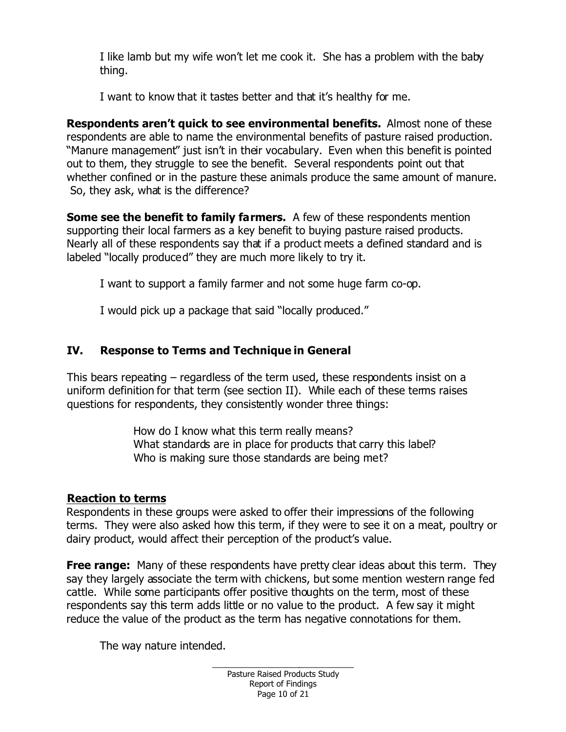*I like lamb but my wife won't let me cook it. She has a problem with the baby thing.*

*I want to know that it tastes better and that it's healthy for me.*

**Respondents aren't quick to see environmental benefits.** Almost none of these respondents are able to name the environmental benefits of pasture raised production. "Manure management" just isn't in their vocabulary. Even when this benefit is pointed out to them, they struggle to see the benefit. Several respondents point out that whether confined or in the pasture these animals produce the same amount of manure. So, they ask, what is the difference?

**Some see the benefit to family farmers.** A few of these respondents mention supporting their local farmers as a key benefit to buying pasture raised products. Nearly all of these respondents say that if a product meets a defined standard and is labeled "locally produced" they are much more likely to try it.

*I want to support a family farmer and not some huge farm co-op.*

*I would pick up a package that said "locally produced."*

# **IV. Response to Terms and Technique in General**

This bears repeating – regardless of the term used, these respondents insist on a uniform definition for that term (see section II). While each of these terms raises questions for respondents, they consistently wonder three things:

> How do I know what this term *really* means? What standards are in place for products that carry this label? Who is making sure those standards are being met?

## **Reaction to terms**

Respondents in these groups were asked to offer their impressions of the following terms. They were also asked how this term, if they were to see it on a meat, poultry or dairy product, would affect their perception of the product's value.

**Free range:** Many of these respondents have pretty clear ideas about this term. They say they largely associate the term with chickens, but some mention western range fed cattle. While some participants offer positive thoughts on the term, most of these respondents say this term adds little or no value to the product. A few say it might reduce the value of the product as the term has negative connotations for them.

*The way nature intended.*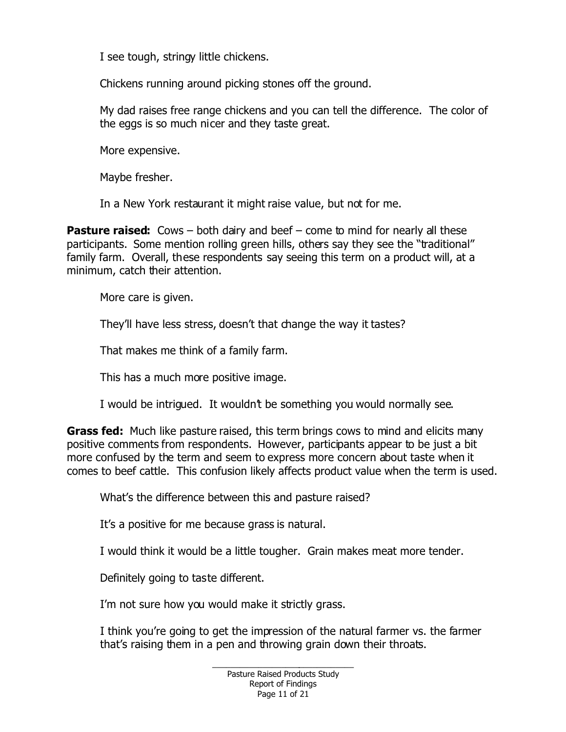*I see tough, stringy little chickens.*

*Chickens running around picking stones off the ground.*

*My dad raises free range chickens and you can tell the difference. The color of the eggs is so much nicer and they taste great.*

*More expensive.*

*Maybe fresher.*

*In a New York restaurant it might raise value, but not for me.*

**Pasture raised:** Cows – both dairy and beef – come to mind for nearly all these participants. Some mention rolling green hills, others say they see the "traditional" family farm. Overall, these respondents say seeing this term on a product will, at a minimum, catch their attention.

*More care is given.*

*They'll have less stress, doesn't that change the way it tastes?*

*That makes me think of a family farm.*

*This has a much more positive image.*

*I would be intrigued. It wouldn't be something you would normally see.*

**Grass fed:** Much like pasture raised, this term brings cows to mind and elicits many positive comments from respondents. However, participants appear to be just a bit more confused by the term and seem to express more concern about taste when it comes to beef cattle. This confusion likely affects product value when the term is used.

*What's the difference between this and pasture raised?*

*It's a positive for me because grass is natural.*

*I would think it would be a little tougher. Grain makes meat more tender.*

*Definitely going to taste different.*

*I'm not sure how you would make it strictly grass.*

*I think you're going to get the impression of the natural farmer vs. the farmer that's raising them in a pen and throwing grain down their throats.*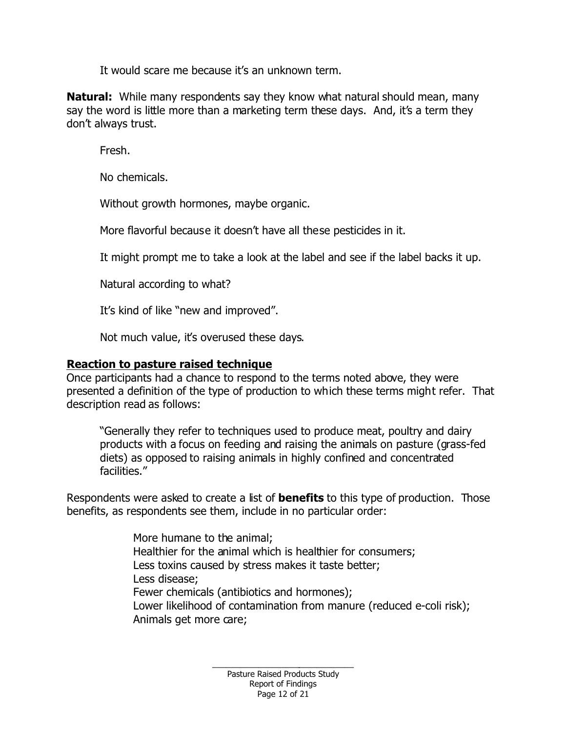*It would scare me because it's an unknown term.*

**Natural:** While many respondents say they know what natural *should* mean, many say the word is little more than a marketing term these days. And, it's a term they don't always trust.

*Fresh.*

*No chemicals.*

*Without growth hormones, maybe organic.*

*More flavorful because it doesn't have all these pesticides in it.*

*It might prompt me to take a look at the label and see if the label backs it up.*

*Natural according to what?*

*It's kind of like "new and improved".*

*Not much value, it's overused these days.*

#### **Reaction to pasture raised technique**

Once participants had a chance to respond to the terms noted above, they were presented a definition of the type of production to which these terms might refer. That description read as follows:

"Generally they refer to techniques used to produce meat, poultry and dairy products with a focus on feeding and raising the animals on pasture (grass-fed diets) as opposed to raising animals in highly confined and concentrated facilities."

Respondents were asked to create a list of **benefits** to this type of production. Those benefits, as respondents see them, include in no particular order:

> More humane to the animal; Healthier for the animal which is healthier for consumers; Less toxins caused by stress makes it taste better; Less disease; Fewer chemicals (antibiotics and hormones); Lower likelihood of contamination from manure (reduced e-coli risk); Animals get more care;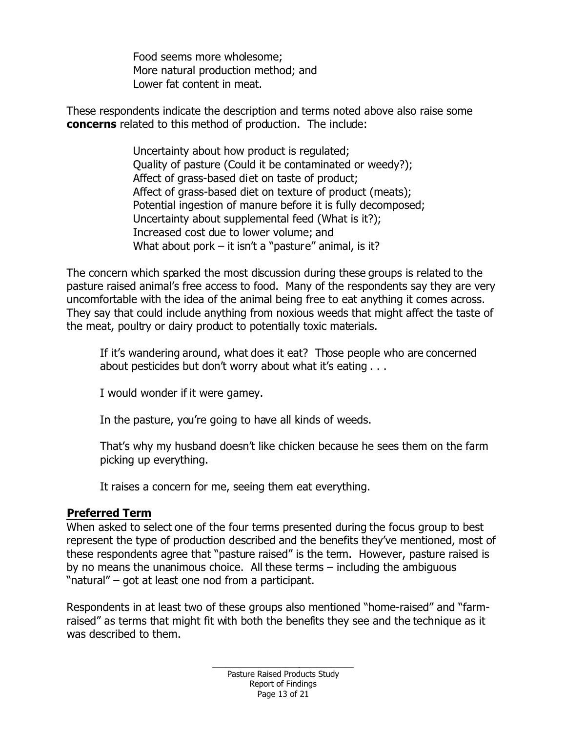Food seems more wholesome; More natural production method; and Lower fat content in meat.

These respondents indicate the description and terms noted above also raise some **concerns** related to this method of production. The include:

> Uncertainty about how product is regulated; Quality of pasture (Could it be contaminated or weedy?); Affect of grass-based diet on taste of product; Affect of grass-based diet on texture of product (meats); Potential ingestion of manure before it is fully decomposed; Uncertainty about supplemental feed (What is it?); Increased cost due to lower volume; and What about pork  $-$  it isn't a "pasture" animal, is it?

The concern which sparked the most discussion during these groups is related to the pasture raised animal's free access to food. Many of the respondents say they are very uncomfortable with the idea of the animal being free to eat anything it comes across. They say that could include anything from noxious weeds that might affect the taste of the meat, poultry or dairy product to potentially toxic materials.

*If it's wandering around, what does it eat? Those people who are concerned about pesticides but don't worry about what it's eating . . .*

*I would wonder if it were gamey.*

*In the pasture, you're going to have all kinds of weeds.*

*That's why my husband doesn't like chicken because he sees them on the farm picking up everything.*

*It raises a concern for me, seeing them eat everything.*

#### **Preferred Term**

When asked to select one of the four terms presented during the focus group to best represent the type of production described *and* the benefits they've mentioned, most of these respondents agree that "pasture raised" is the term. However, pasture raised is by no means the unanimous choice. All these terms – including the ambiguous "natural" – got at least one nod from a participant.

Respondents in at least two of these groups also mentioned "home-raised" and "farmraised" as terms that might fit with both the benefits they see and the technique as it was described to them.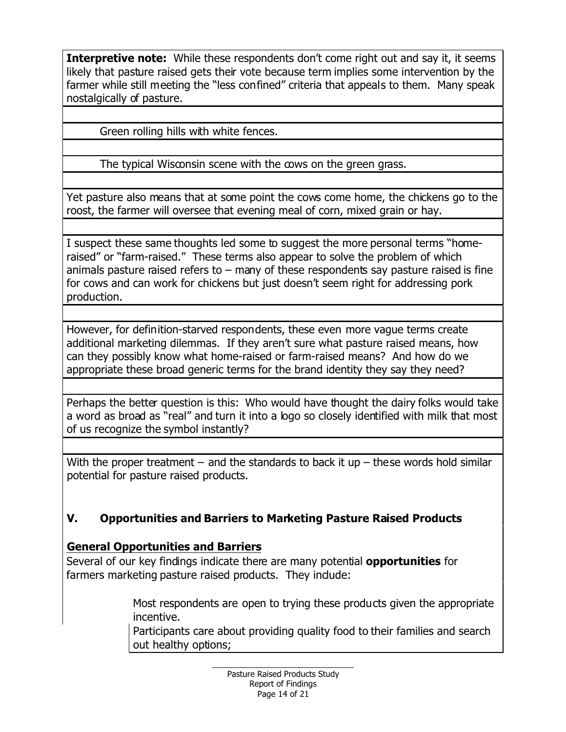**Interpretive note:** While these respondents don't come right out and say it, it seems likely that pasture raised gets their vote because term implies some intervention by the farmer while still meeting the "less confined" criteria that appeals to them. Many speak nostalgically of pasture.

*Green rolling hills with white fences.*

*The typical Wisconsin scene with the cows on the green grass.*

Yet pasture also means that at some point the cows come home, the chickens go to the roost, the farmer will oversee that evening meal of corn, mixed grain or hay.

I suspect these same thoughts led some to suggest the more personal terms "homeraised" or "farm-raised." These terms also appear to solve the problem of which animals pasture raised refers to  $-$  many of these respondents say pasture raised is fine for cows and can work for chickens but just doesn't seem right for addressing pork production.

However, for definition-starved respondents, these even more vague terms create additional marketing dilemmas. If they aren't sure what pasture raised means, how can they possibly know what home-raised or farm-raised means? And how do we appropriate these broad generic terms for the brand identity they say they need?

Perhaps the better question is this: Who would have thought the dairy folks would take a word as broad as "real" and turn it into a logo so closely identified with milk that most of us recognize the symbol instantly?

With the proper treatment – and the standards to back it up – these words hold similar potential for pasture raised products.

## **V. Opportunities and Barriers to Marketing Pasture Raised Products**

## **General Opportunities and Barriers**

Several of our key findings indicate there are many potential **opportunities** for farmers marketing pasture raised products. They indude:

> Most respondents are open to trying these products given the appropriate incentive.

> Participants care about providing quality food to their families and search out healthy options;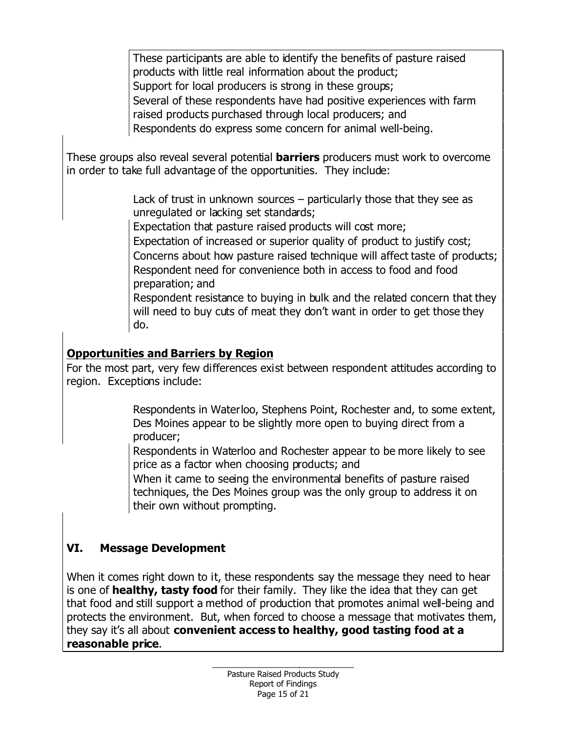These participants are able to identify the benefits of pasture raised products with little real information about the product; Support for local producers is strong in these groups; Several of these respondents have had positive experiences with farm raised products purchased through local producers; and Respondents do express some concern for animal well-being.

These groups also reveal several potential **barriers** producers must work to overcome in order to take full advantage of the opportunities. They include:

> Lack of trust in unknown sources – particularly those that they see as unregulated or lacking set standards;

Expectation that pasture raised products will cost more;

Expectation of increased or superior quality of product to justify cost; Concerns about how pasture raised technique will affect taste of products; Respondent need for convenience both in access to food and food preparation; and

Respondent resistance to buying in bulk and the related concern that they will need to buy cuts of meat they don't want in order to get those they do.

# **Opportunities and Barriers by Region**

For the most part, very few differences exist between respondent attitudes according to region. Exceptions include:

> Respondents in Waterloo, Stephens Point, Rochester and, to some extent, Des Moines appear to be slightly more open to buying direct from a producer;

Respondents in Waterloo and Rochester appear to be more likely to see price as a factor when choosing products; and

When it came to seeing the environmental benefits of pasture raised techniques, the Des Moines group was the only group to address it on their own without prompting.

# **VI. Message Development**

When it comes right down to it, these respondents say the message they need to hear is one of **healthy, tasty food** for their family. They like the idea that they can get that food and still support a method of production that promotes animal well-being and protects the environment. But, when forced to choose a message that motivates them, they say it's all about **convenient access to healthy, good tasting food at a reasonable price**.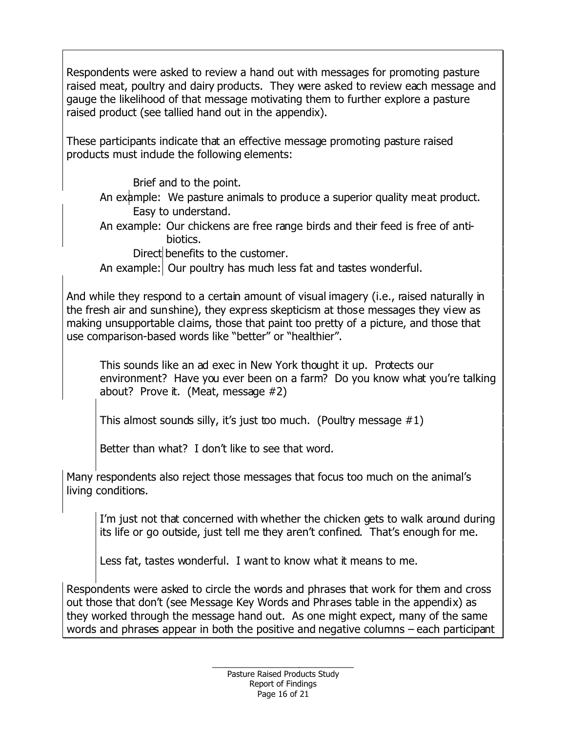Respondents were asked to review a hand out with messages for promoting pasture raised meat, poultry and dairy products. They were asked to review each message and gauge the likelihood of that message motivating them to further explore a pasture raised product (see tallied hand out in the appendix).

These participants indicate that an effective message promoting pasture raised products must indude the following elements:

Brief and to the point.

An example: We pasture animals to produce a superior quality meat product. Easy to understand.

An example: *Our chickens are free range birds and their feed is free of antibiotics.*

Direct benefits to the customer.

An example: Our poultry has much less fat and tastes wonderful.

And while they respond to a certain amount of visual imagery (i.e., raised naturally in the fresh air and sunshine), they express skepticism at those messages they view as making unsupportable claims, those that paint too pretty of a picture, and those that use comparison-based words like "better" or "healthier".

*This sounds like an ad exec in New York thought it up. Protects our environment? Have you ever been on a farm? Do you know what you're talking about? Prove it. (Meat, message #2)*

*This almost sounds silly, it's just too much. (Poultry message #1)*

*Better than what? I don't like to see that word.* 

Many respondents also reject those messages that focus too much on the animal's living conditions.

*I'm just not that concerned with whether the chicken gets to walk around during its life or go outside, just tell me they aren't confined. That's enough for me.*

*Less fat, tastes wonderful. I want to know what it means to me.*

Respondents were asked to circle the words and phrases that work for them and cross out those that don't (see Message Key Words and Phrases table in the appendix) as they worked through the message hand out. As one might expect, many of the same words and phrases appear in both the positive and negative columns – each participant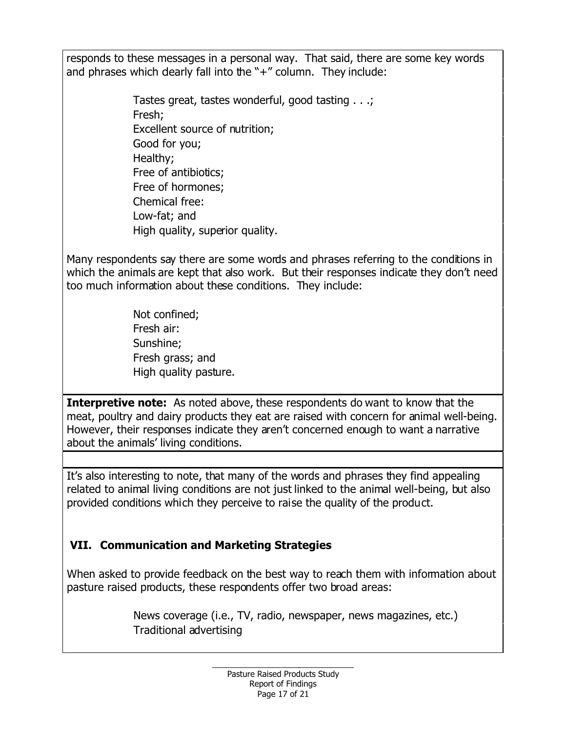responds to these messages in a personal way. That said, there are some key words and phrases which dearly fall into the  $"+'$  column. They include:

> Tastes great, tastes wonderful, good tasting . . .; Fresh; Excellent source of nutrition; Good for you; Healthy; Free of antibiotics; Free of hormones; Chemical free: Low-fat; and High quality, superior quality.

Many respondents say there are some words and phrases referring to the conditions in which the animals are kept that also work. But their responses indicate they don't need too much information about these conditions. They include:

> Not confined; Fresh air: Sunshine; Fresh grass; and High quality pasture.

**Interpretive note:** As noted above, these respondents do want to know that the meat, poultry and dairy products they eat are raised with concern for animal well-being. However, their responses indicate they aren't concerned enough to want a narrative about the animals' living conditions.

It's also interesting to note, that many of the words and phrases they find appealing related to animal living conditions are not just linked to the animal well-being, but also provided conditions which they perceive to raise the quality of the product.

# **VII. Communication and Marketing Strategies**

When asked to provide feedback on the best way to reach them with information about pasture raised products, these respondents offer two broad areas:

> News coverage (i.e., TV, radio, newspaper, news magazines, etc.) Traditional advertising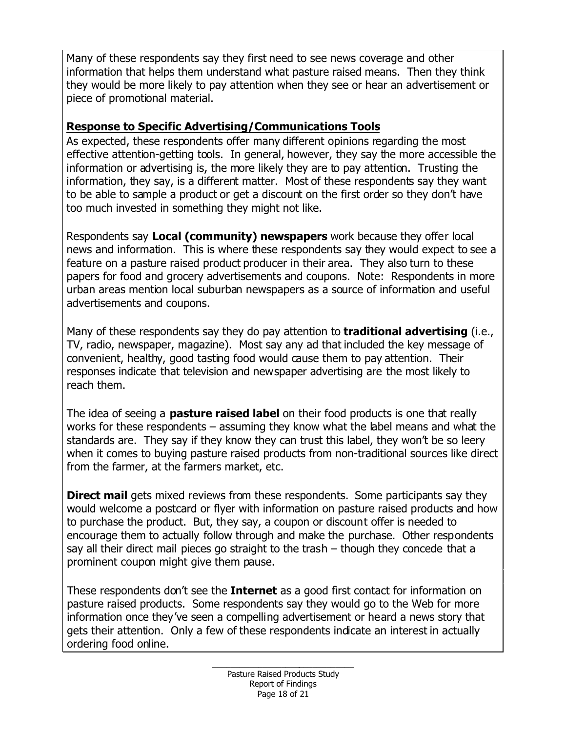Many of these respondents say they first need to see news coverage and other information that helps them understand what pasture raised *means.* Then they think they would be more likely to pay attention when they see or hear an advertisement or piece of promotional material.

## **Response to Specific Advertising/Communications Tools**

As expected, these respondents offer many different opinions regarding the most effective attention-getting tools. In general, however, they say the more accessible the information or advertising is, the more likely they are to pay attention. Trusting the information, they say, is a different matter. Most of these respondents say they want to be able to sample a product or get a discount on the first order so they don't have too much invested in something they might not like.

Respondents say **Local (community) newspapers** work because they offer local news and information. This is where these respondents say they would expect to see a feature on a pasture raised product producer in their area. They also turn to these papers for food and grocery advertisements and coupons. Note: Respondents in more urban areas mention local suburban newspapers as a source of information and useful advertisements and coupons.

Many of these respondents say they do pay attention to **traditional advertising** (i.e., TV, radio, newspaper, magazine). Most say any ad that included the key message of convenient, healthy, good tasting food would cause them to pay attention. Their responses indicate that television and newspaper advertising are the most likely to reach them.

The idea of seeing a **pasture raised label** on their food products is one that really works for these respondents – assuming they know what the label means and what the standards are. They say if they know they can trust this label, they won't be so leery when it comes to buying pasture raised products from non-traditional sources like direct from the farmer, at the farmers market, etc.

**Direct mail** gets mixed reviews from these respondents. Some participants say they would welcome a postcard or flyer with information on pasture raised products and how to purchase the product. But, they say, a coupon or discount offer is needed to encourage them to actually follow through and make the purchase. Other respondents say all their direct mail pieces go straight to the trash – though they concede that a prominent coupon might give them pause.

These respondents don't see the **Internet** as a good first contact for information on pasture raised products. Some respondents say they would go to the Web for more information once they've seen a compelling advertisement or heard a news story that gets their attention. Only a few of these respondents indicate an interest in actually ordering food online.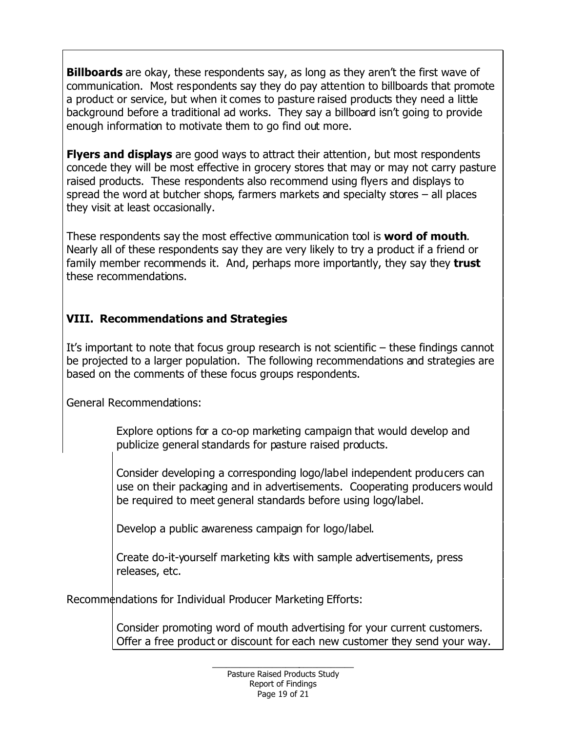**Billboards** are okay, these respondents say, as long as they aren't the first wave of communication. Most respondents say they do pay attention to billboards that promote a product or service, but when it comes to pasture raised products they need a little background before a traditional ad works. They say a billboard isn't going to provide enough information to motivate them to go find out more.

**Flyers and displays** are good ways to attract their attention, but most respondents concede they will be most effective in grocery stores that may or may not carry pasture raised products. These respondents also recommend using flyers and displays to spread the word at butcher shops, farmers markets and specialty stores – all places they visit at least occasionally.

These respondents say the most effective communication tool is **word of mouth**. Nearly all of these respondents say they are very likely to try a product if a friend or family member recommends it. And, perhaps more importantly, they say they **trust** these recommendations.

## **VIII. Recommendations and Strategies**

It's important to note that focus group research is not scientific – these findings cannot be projected to a larger population. The following recommendations and strategies are based on the comments of these focus groups respondents.

General Recommendations:

Explore options for a co-op marketing campaign that would develop and publicize general standards for pasture raised products.

Consider developing a corresponding logo/label independent producers can use on their packaging and in advertisements. Cooperating producers would be required to meet general standards before using logo/label.

Develop a public awareness campaign for logo/label.

Create do-it-yourself marketing kits with sample advertisements, press releases, etc.

Recommendations for Individual Producer Marketing Efforts:

Consider promoting word of mouth advertising for your current customers. Offer a free product or discount for each new customer they send your way.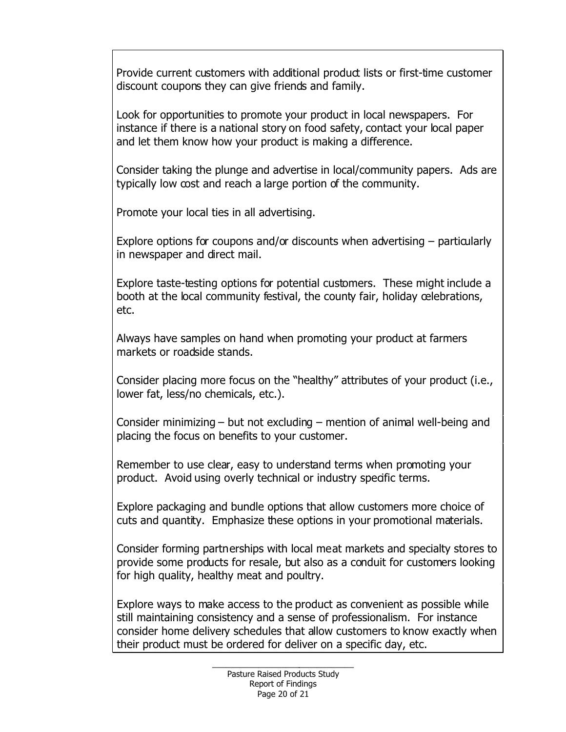Provide current customers with additional product lists or first-time customer discount coupons they can give friends and family.

Look for opportunities to promote your product in local newspapers. For instance if there is a national story on food safety, contact your local paper and let them know how your product is making a difference.

Consider taking the plunge and advertise in local/community papers. Ads are typically low cost and reach a large portion of the community.

Promote your local ties in all advertising.

Explore options for coupons and/or discounts when advertising  $-$  particularly in newspaper and direct mail.

Explore taste-testing options for potential customers. These might include a booth at the local community festival, the county fair, holiday celebrations, etc.

Always have samples on hand when promoting your product at farmers markets or roadside stands.

Consider placing more focus on the "healthy" attributes of your product (i.e., lower fat, less/no chemicals, etc.).

Consider minimizing – but not excluding – mention of animal well-being and placing the focus on benefits to your customer.

Remember to use clear, easy to understand terms when promoting your product. Avoid using overly technical or industry specific terms.

Explore packaging and bundle options that allow customers more choice of cuts and quantity. Emphasize these options in your promotional materials.

Consider forming partnerships with local meat markets and specialty stores to provide some products for resale, but also as a conduit for customers looking for high quality, healthy meat and poultry.

Explore ways to make access to the product as convenient as possible while still maintaining consistency and a sense of professionalism. For instance consider home delivery schedules that allow customers to know exactly when their product must be ordered for deliver on a specific day, etc.